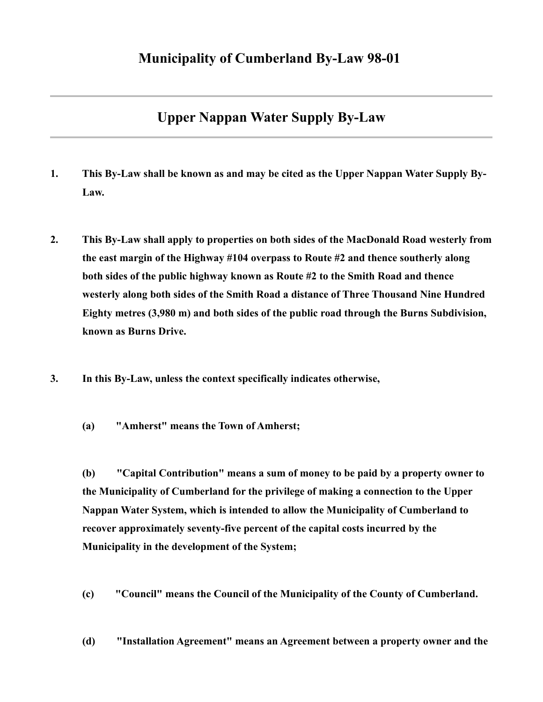## **Upper Nappan Water Supply By-Law**

- **1. This By-Law shall be known as and may be cited as the Upper Nappan Water Supply By-Law.**
- **2. This By-Law shall apply to properties on both sides of the MacDonald Road westerly from the east margin of the Highway #104 overpass to Route #2 and thence southerly along both sides of the public highway known as Route #2 to the Smith Road and thence westerly along both sides of the Smith Road a distance of Three Thousand Nine Hundred Eighty metres (3,980 m) and both sides of the public road through the Burns Subdivision, known as Burns Drive.**
- **3. In this By-Law, unless the context specifically indicates otherwise,** 
	- **(a) "Amherst" means the Town of Amherst;**

**(b) "Capital Contribution" means a sum of money to be paid by a property owner to the Municipality of Cumberland for the privilege of making a connection to the Upper Nappan Water System, which is intended to allow the Municipality of Cumberland to recover approximately seventy-five percent of the capital costs incurred by the Municipality in the development of the System;** 

**(c) "Council" means the Council of the Municipality of the County of Cumberland.** 

**(d) "Installation Agreement" means an Agreement between a property owner and the**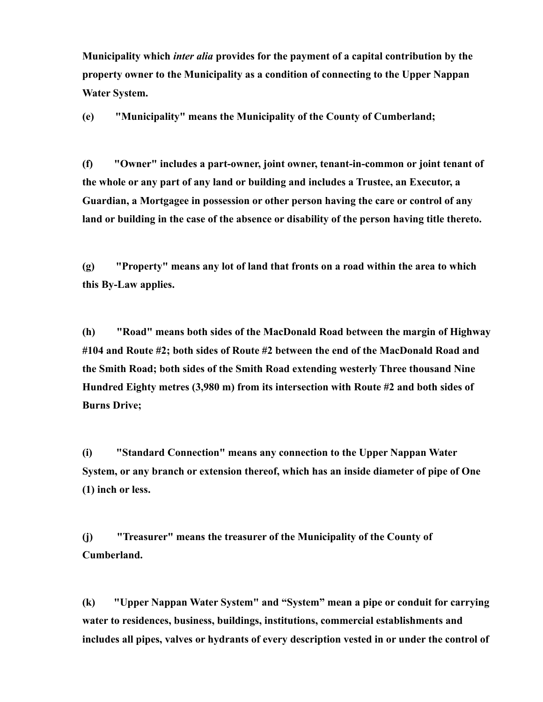**Municipality which** *inter alia* **provides for the payment of a capital contribution by the property owner to the Municipality as a condition of connecting to the Upper Nappan Water System.** 

**(e) "Municipality" means the Municipality of the County of Cumberland;** 

**(f) "Owner" includes a part-owner, joint owner, tenant-in-common or joint tenant of the whole or any part of any land or building and includes a Trustee, an Executor, a Guardian, a Mortgagee in possession or other person having the care or control of any land or building in the case of the absence or disability of the person having title thereto.** 

**(g) "Property" means any lot of land that fronts on a road within the area to which this By-Law applies.** 

**(h) "Road" means both sides of the MacDonald Road between the margin of Highway #104 and Route #2; both sides of Route #2 between the end of the MacDonald Road and the Smith Road; both sides of the Smith Road extending westerly Three thousand Nine Hundred Eighty metres (3,980 m) from its intersection with Route #2 and both sides of Burns Drive;** 

**(i) "Standard Connection" means any connection to the Upper Nappan Water System, or any branch or extension thereof, which has an inside diameter of pipe of One (1) inch or less.** 

**(j) "Treasurer" means the treasurer of the Municipality of the County of Cumberland.** 

**(k) "Upper Nappan Water System" and "System" mean a pipe or conduit for carrying water to residences, business, buildings, institutions, commercial establishments and includes all pipes, valves or hydrants of every description vested in or under the control of**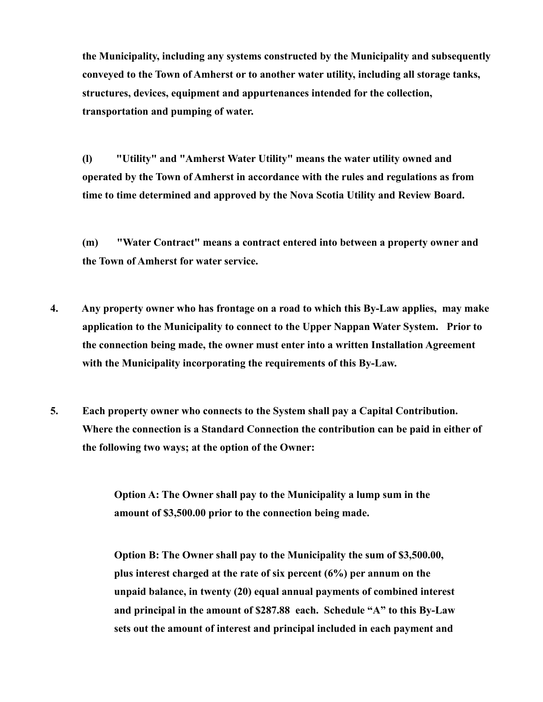**the Municipality, including any systems constructed by the Municipality and subsequently conveyed to the Town of Amherst or to another water utility, including all storage tanks, structures, devices, equipment and appurtenances intended for the collection, transportation and pumping of water.** 

**(l) "Utility" and "Amherst Water Utility" means the water utility owned and operated by the Town of Amherst in accordance with the rules and regulations as from time to time determined and approved by the Nova Scotia Utility and Review Board.** 

**(m) "Water Contract" means a contract entered into between a property owner and the Town of Amherst for water service.** 

- **4. Any property owner who has frontage on a road to which this By-Law applies, may make application to the Municipality to connect to the Upper Nappan Water System. Prior to the connection being made, the owner must enter into a written Installation Agreement with the Municipality incorporating the requirements of this By-Law.**
- **5. Each property owner who connects to the System shall pay a Capital Contribution. Where the connection is a Standard Connection the contribution can be paid in either of the following two ways; at the option of the Owner:**

**Option A: The Owner shall pay to the Municipality a lump sum in the amount of \$3,500.00 prior to the connection being made.** 

**Option B: The Owner shall pay to the Municipality the sum of \$3,500.00, plus interest charged at the rate of six percent (6%) per annum on the unpaid balance, in twenty (20) equal annual payments of combined interest and principal in the amount of \$287.88 each. Schedule "A" to this By-Law sets out the amount of interest and principal included in each payment and**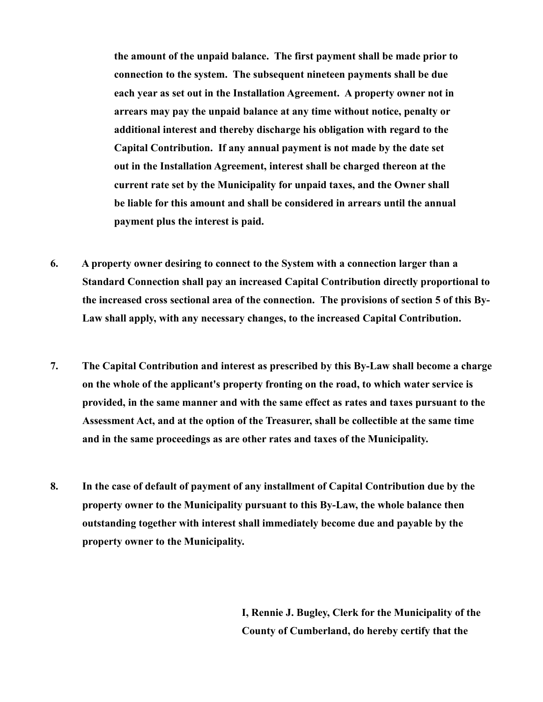**the amount of the unpaid balance. The first payment shall be made prior to connection to the system. The subsequent nineteen payments shall be due each year as set out in the Installation Agreement. A property owner not in arrears may pay the unpaid balance at any time without notice, penalty or additional interest and thereby discharge his obligation with regard to the Capital Contribution. If any annual payment is not made by the date set out in the Installation Agreement, interest shall be charged thereon at the current rate set by the Municipality for unpaid taxes, and the Owner shall be liable for this amount and shall be considered in arrears until the annual payment plus the interest is paid.** 

- **6. A property owner desiring to connect to the System with a connection larger than a Standard Connection shall pay an increased Capital Contribution directly proportional to the increased cross sectional area of the connection. The provisions of section 5 of this By-Law shall apply, with any necessary changes, to the increased Capital Contribution.**
- **7. The Capital Contribution and interest as prescribed by this By-Law shall become a charge on the whole of the applicant's property fronting on the road, to which water service is provided, in the same manner and with the same effect as rates and taxes pursuant to the Assessment Act, and at the option of the Treasurer, shall be collectible at the same time and in the same proceedings as are other rates and taxes of the Municipality.**
- **8. In the case of default of payment of any installment of Capital Contribution due by the property owner to the Municipality pursuant to this By-Law, the whole balance then outstanding together with interest shall immediately become due and payable by the property owner to the Municipality.**

**I, Rennie J. Bugley, Clerk for the Municipality of the County of Cumberland, do hereby certify that the**